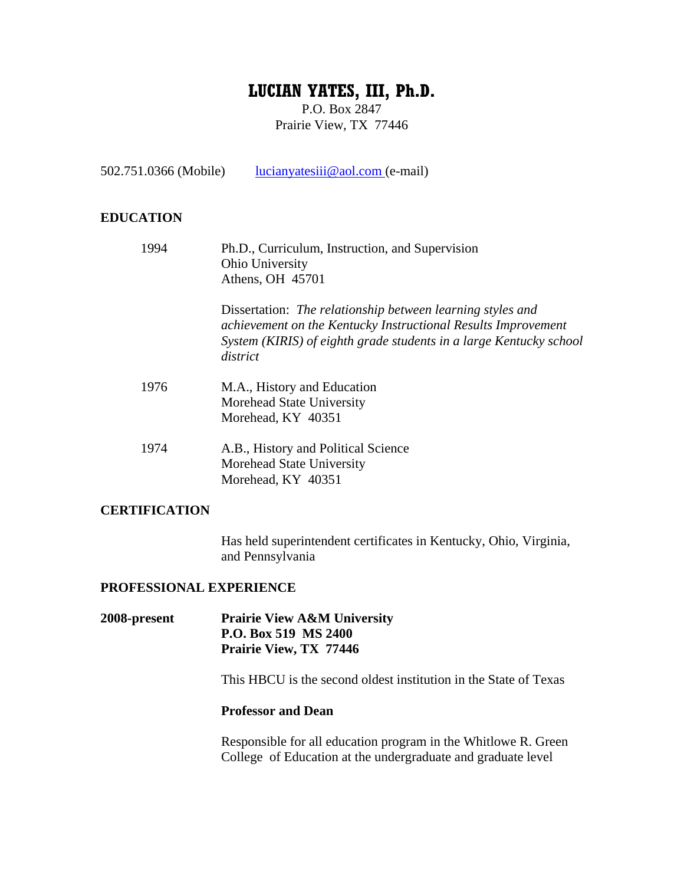# **LUCIAN YATES, III, Ph.D.**

P.O. Box 2847 Prairie View, TX 77446

502.751.0366 (Mobile) lucianyatesiii@aol.com (e-mail)

### **EDUCATION**

| 1994                 | Ph.D., Curriculum, Instruction, and Supervision<br>Ohio University<br>Athens, OH 45701                                                                                                                        |
|----------------------|---------------------------------------------------------------------------------------------------------------------------------------------------------------------------------------------------------------|
|                      | Dissertation: The relationship between learning styles and<br>achievement on the Kentucky Instructional Results Improvement<br>System (KIRIS) of eighth grade students in a large Kentucky school<br>district |
| 1976                 | M.A., History and Education<br>Morehead State University<br>Morehead, KY 40351                                                                                                                                |
| 1974                 | A.B., History and Political Science<br>Morehead State University<br>Morehead, KY 40351                                                                                                                        |
| <b>CERTIFICATION</b> |                                                                                                                                                                                                               |

Has held superintendent certificates in Kentucky, Ohio, Virginia, and Pennsylvania

#### **PROFESSIONAL EXPERIENCE**

**2008-present Prairie View A&M University P.O. Box 519 MS 2400 Prairie View, TX 77446** 

This HBCU is the second oldest institution in the State of Texas

#### **Professor and Dean**

Responsible for all education program in the Whitlowe R. Green College of Education at the undergraduate and graduate level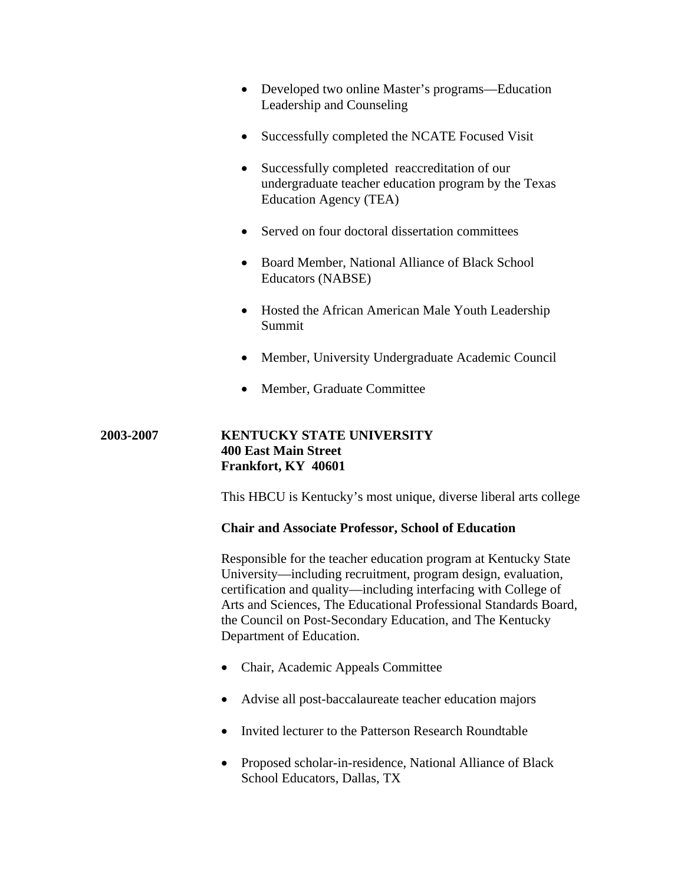- Developed two online Master's programs—Education Leadership and Counseling
- Successfully completed the NCATE Focused Visit
- Successfully completed reaccreditation of our undergraduate teacher education program by the Texas Education Agency (TEA)
- Served on four doctoral dissertation committees
- Board Member, National Alliance of Black School Educators (NABSE)
- Hosted the African American Male Youth Leadership Summit
- Member, University Undergraduate Academic Council
- Member, Graduate Committee

### **2003-2007 KENTUCKY STATE UNIVERSITY 400 East Main Street Frankfort, KY 40601**

This HBCU is Kentucky's most unique, diverse liberal arts college

#### **Chair and Associate Professor, School of Education**

Responsible for the teacher education program at Kentucky State University—including recruitment, program design, evaluation, certification and quality—including interfacing with College of Arts and Sciences, The Educational Professional Standards Board, the Council on Post-Secondary Education, and The Kentucky Department of Education.

- Chair, Academic Appeals Committee
- Advise all post-baccalaureate teacher education majors
- Invited lecturer to the Patterson Research Roundtable
- Proposed scholar-in-residence, National Alliance of Black School Educators, Dallas, TX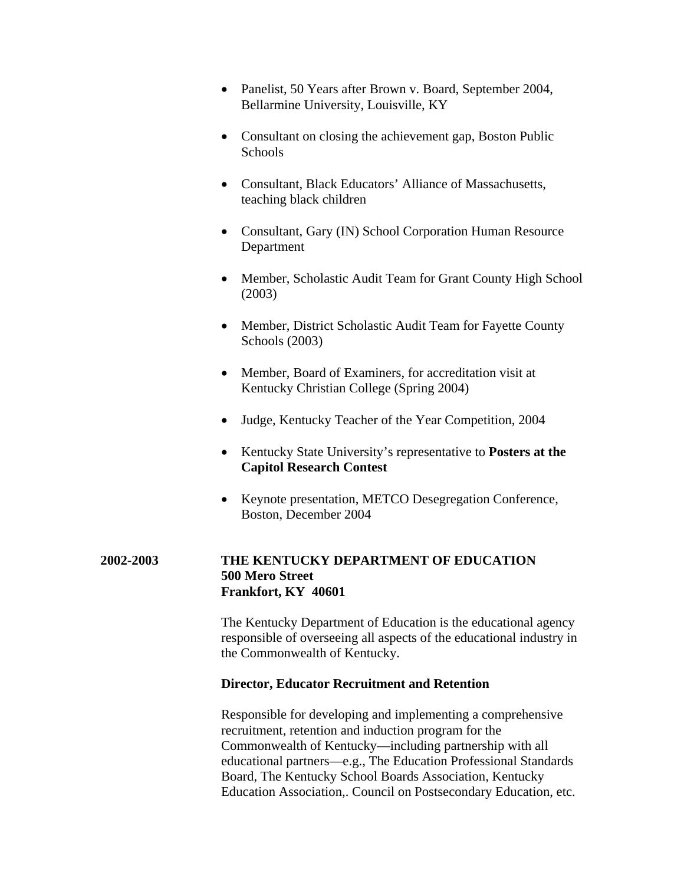- Panelist, 50 Years after Brown v. Board, September 2004, Bellarmine University, Louisville, KY
- Consultant on closing the achievement gap, Boston Public Schools
- Consultant, Black Educators' Alliance of Massachusetts, teaching black children
- Consultant, Gary (IN) School Corporation Human Resource Department
- Member, Scholastic Audit Team for Grant County High School (2003)
- Member, District Scholastic Audit Team for Fayette County Schools (2003)
- Member, Board of Examiners, for accreditation visit at Kentucky Christian College (Spring 2004)
- Judge, Kentucky Teacher of the Year Competition, 2004
- Kentucky State University's representative to **Posters at the Capitol Research Contest**
- Keynote presentation, METCO Desegregation Conference, Boston, December 2004

# **2002-2003 THE KENTUCKY DEPARTMENT OF EDUCATION 500 Mero Street Frankfort, KY 40601**

The Kentucky Department of Education is the educational agency responsible of overseeing all aspects of the educational industry in the Commonwealth of Kentucky.

#### **Director, Educator Recruitment and Retention**

Responsible for developing and implementing a comprehensive recruitment, retention and induction program for the Commonwealth of Kentucky—including partnership with all educational partners—e.g., The Education Professional Standards Board, The Kentucky School Boards Association, Kentucky Education Association,. Council on Postsecondary Education, etc.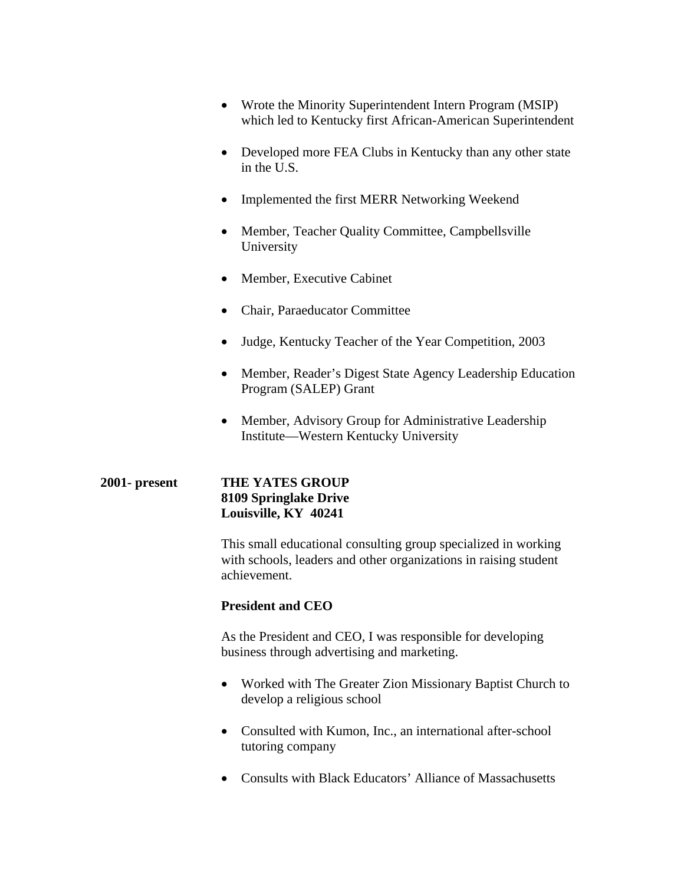- Wrote the Minority Superintendent Intern Program (MSIP) which led to Kentucky first African-American Superintendent
- Developed more FEA Clubs in Kentucky than any other state in the U.S.
- Implemented the first MERR Networking Weekend
- Member, Teacher Quality Committee, Campbellsville University
- Member, Executive Cabinet
- Chair, Paraeducator Committee
- Judge, Kentucky Teacher of the Year Competition, 2003
- Member, Reader's Digest State Agency Leadership Education Program (SALEP) Grant
- Member, Advisory Group for Administrative Leadership Institute—Western Kentucky University

# **2001- present THE YATES GROUP 8109 Springlake Drive Louisville, KY 40241**

This small educational consulting group specialized in working with schools, leaders and other organizations in raising student achievement.

# **President and CEO**

As the President and CEO, I was responsible for developing business through advertising and marketing.

- Worked with The Greater Zion Missionary Baptist Church to develop a religious school
- Consulted with Kumon, Inc., an international after-school tutoring company
- Consults with Black Educators' Alliance of Massachusetts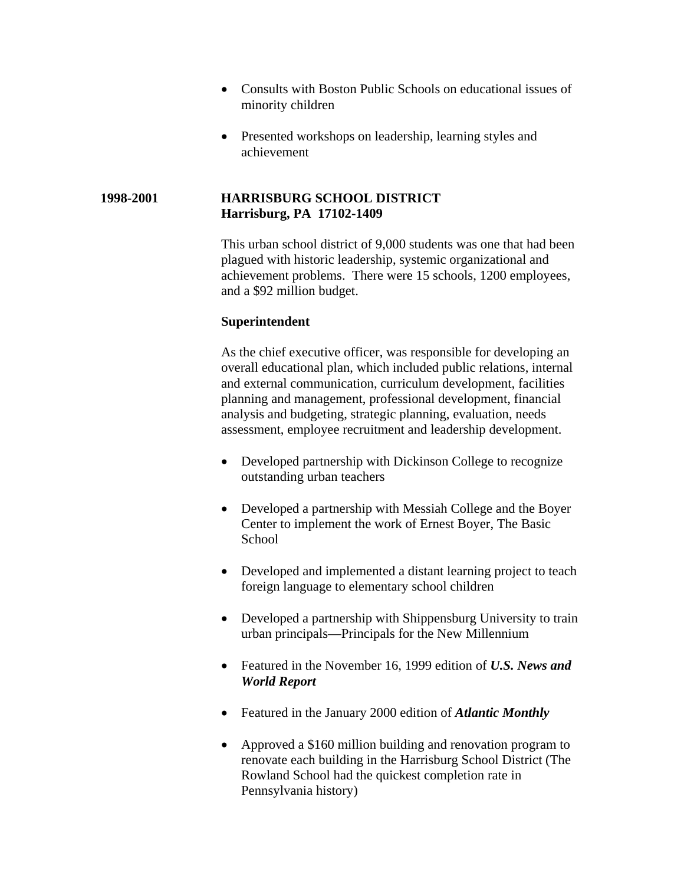- Consults with Boston Public Schools on educational issues of minority children
- Presented workshops on leadership, learning styles and achievement

#### **1998-2001 HARRISBURG SCHOOL DISTRICT Harrisburg, PA 17102-1409**

This urban school district of 9,000 students was one that had been plagued with historic leadership, systemic organizational and achievement problems. There were 15 schools, 1200 employees, and a \$92 million budget.

#### **Superintendent**

As the chief executive officer, was responsible for developing an overall educational plan, which included public relations, internal and external communication, curriculum development, facilities planning and management, professional development, financial analysis and budgeting, strategic planning, evaluation, needs assessment, employee recruitment and leadership development.

- Developed partnership with Dickinson College to recognize outstanding urban teachers
- Developed a partnership with Messiah College and the Boyer Center to implement the work of Ernest Boyer, The Basic **School**
- Developed and implemented a distant learning project to teach foreign language to elementary school children
- Developed a partnership with Shippensburg University to train urban principals—Principals for the New Millennium
- Featured in the November 16, 1999 edition of *U.S. News and World Report*
- Featured in the January 2000 edition of *Atlantic Monthly*
- Approved a \$160 million building and renovation program to renovate each building in the Harrisburg School District (The Rowland School had the quickest completion rate in Pennsylvania history)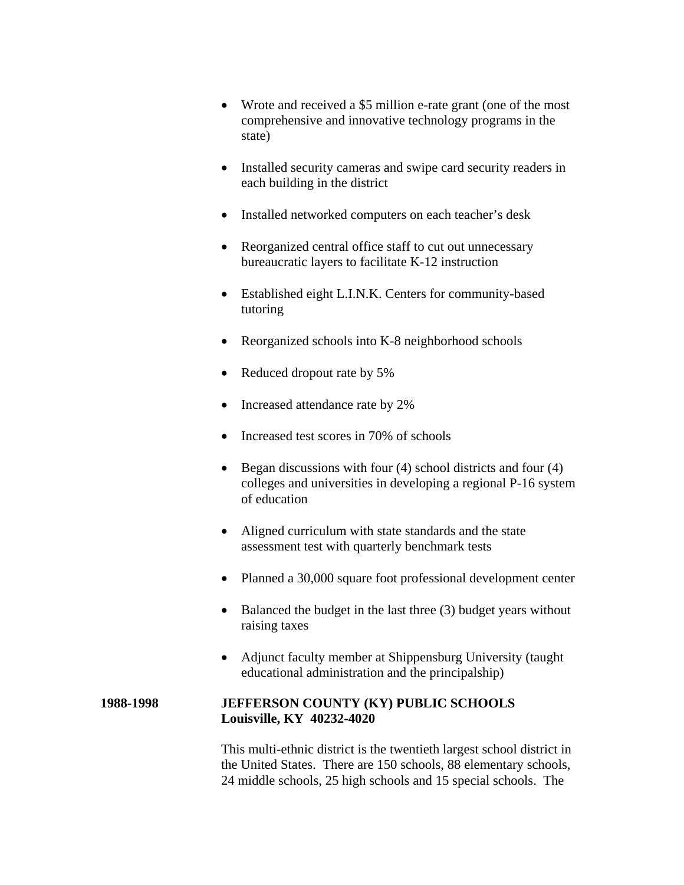- Wrote and received a \$5 million e-rate grant (one of the most comprehensive and innovative technology programs in the state)
- Installed security cameras and swipe card security readers in each building in the district
- Installed networked computers on each teacher's desk
- Reorganized central office staff to cut out unnecessary bureaucratic layers to facilitate K-12 instruction
- Established eight L.I.N.K. Centers for community-based tutoring
- Reorganized schools into K-8 neighborhood schools
- Reduced dropout rate by 5%
- Increased attendance rate by 2%
- Increased test scores in 70% of schools
- Began discussions with four  $(4)$  school districts and four  $(4)$ colleges and universities in developing a regional P-16 system of education
- Aligned curriculum with state standards and the state assessment test with quarterly benchmark tests
- Planned a 30,000 square foot professional development center
- Balanced the budget in the last three (3) budget years without raising taxes
- Adjunct faculty member at Shippensburg University (taught educational administration and the principalship)

#### **1988-1998 JEFFERSON COUNTY (KY) PUBLIC SCHOOLS Louisville, KY 40232-4020**

This multi-ethnic district is the twentieth largest school district in the United States. There are 150 schools, 88 elementary schools, 24 middle schools, 25 high schools and 15 special schools. The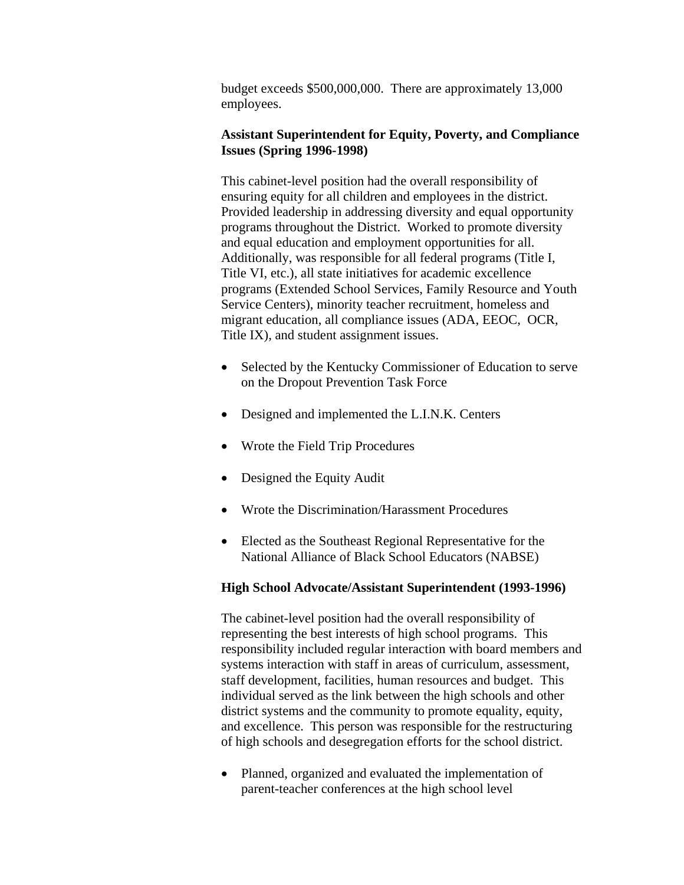budget exceeds \$500,000,000. There are approximately 13,000 employees.

#### **Assistant Superintendent for Equity, Poverty, and Compliance Issues (Spring 1996-1998)**

This cabinet-level position had the overall responsibility of ensuring equity for all children and employees in the district. Provided leadership in addressing diversity and equal opportunity programs throughout the District. Worked to promote diversity and equal education and employment opportunities for all. Additionally, was responsible for all federal programs (Title I, Title VI, etc.), all state initiatives for academic excellence programs (Extended School Services, Family Resource and Youth Service Centers), minority teacher recruitment, homeless and migrant education, all compliance issues (ADA, EEOC, OCR, Title IX), and student assignment issues.

- Selected by the Kentucky Commissioner of Education to serve on the Dropout Prevention Task Force
- Designed and implemented the L.I.N.K. Centers
- Wrote the Field Trip Procedures
- Designed the Equity Audit
- Wrote the Discrimination/Harassment Procedures
- Elected as the Southeast Regional Representative for the National Alliance of Black School Educators (NABSE)

# **High School Advocate/Assistant Superintendent (1993-1996)**

The cabinet-level position had the overall responsibility of representing the best interests of high school programs. This responsibility included regular interaction with board members and systems interaction with staff in areas of curriculum, assessment, staff development, facilities, human resources and budget. This individual served as the link between the high schools and other district systems and the community to promote equality, equity, and excellence. This person was responsible for the restructuring of high schools and desegregation efforts for the school district.

• Planned, organized and evaluated the implementation of parent-teacher conferences at the high school level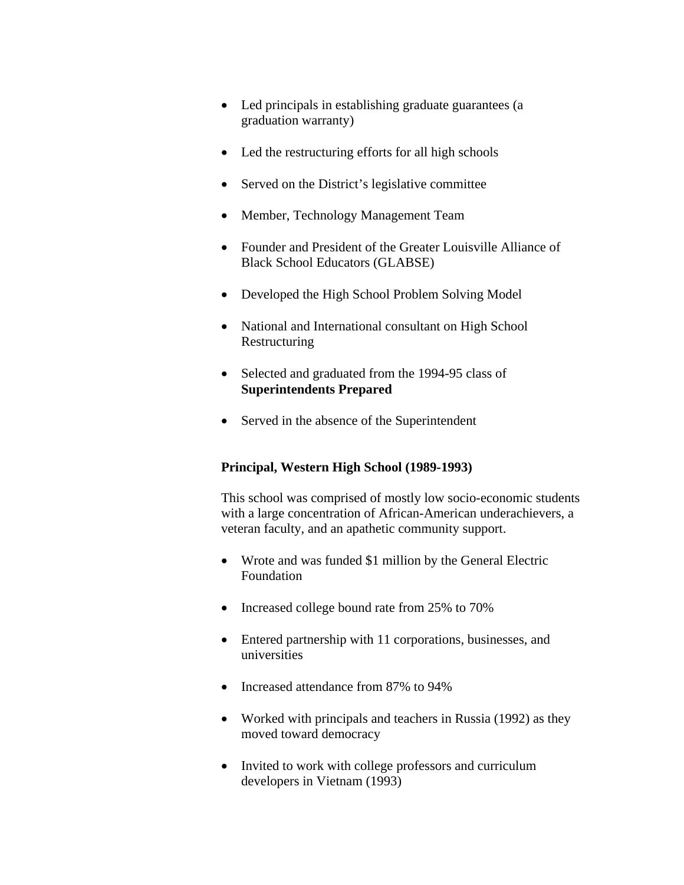- Led principals in establishing graduate guarantees (a graduation warranty)
- Led the restructuring efforts for all high schools
- Served on the District's legislative committee
- Member, Technology Management Team
- Founder and President of the Greater Louisville Alliance of Black School Educators (GLABSE)
- Developed the High School Problem Solving Model
- National and International consultant on High School Restructuring
- Selected and graduated from the 1994-95 class of **Superintendents Prepared**
- Served in the absence of the Superintendent

# **Principal, Western High School (1989-1993)**

This school was comprised of mostly low socio-economic students with a large concentration of African-American underachievers, a veteran faculty, and an apathetic community support.

- Wrote and was funded \$1 million by the General Electric Foundation
- Increased college bound rate from 25% to 70%
- Entered partnership with 11 corporations, businesses, and universities
- Increased attendance from 87% to 94%
- Worked with principals and teachers in Russia (1992) as they moved toward democracy
- Invited to work with college professors and curriculum developers in Vietnam (1993)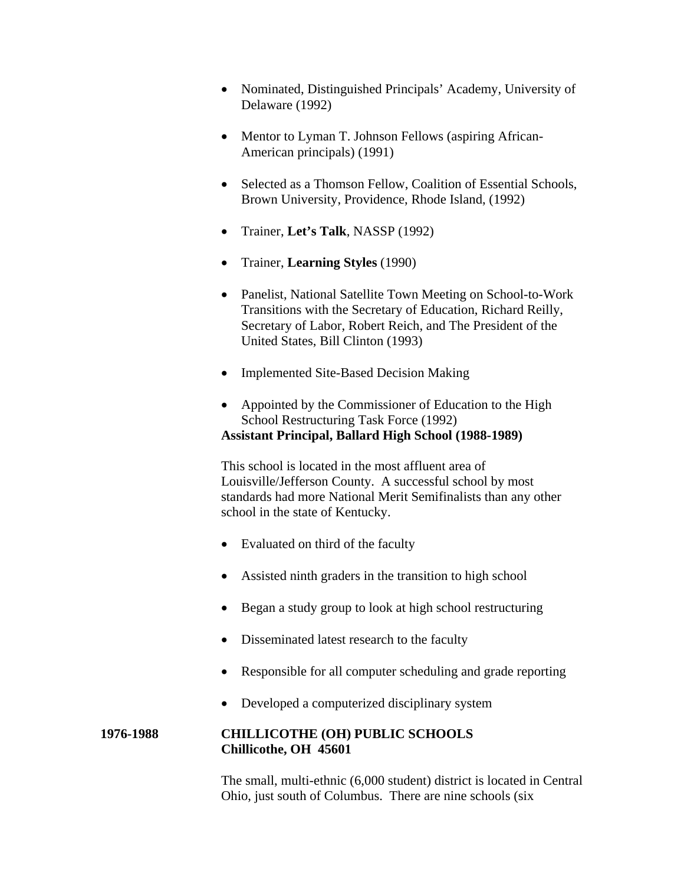- Nominated, Distinguished Principals' Academy, University of Delaware (1992)
- Mentor to Lyman T. Johnson Fellows (aspiring African-American principals) (1991)
- Selected as a Thomson Fellow, Coalition of Essential Schools, Brown University, Providence, Rhode Island, (1992)
- Trainer, **Let's Talk**, NASSP (1992)
- Trainer, **Learning Styles** (1990)
- Panelist, National Satellite Town Meeting on School-to-Work Transitions with the Secretary of Education, Richard Reilly, Secretary of Labor, Robert Reich, and The President of the United States, Bill Clinton (1993)
- Implemented Site-Based Decision Making
- Appointed by the Commissioner of Education to the High School Restructuring Task Force (1992) **Assistant Principal, Ballard High School (1988-1989)**

This school is located in the most affluent area of Louisville/Jefferson County. A successful school by most standards had more National Merit Semifinalists than any other school in the state of Kentucky.

- Evaluated on third of the faculty
- Assisted ninth graders in the transition to high school
- Began a study group to look at high school restructuring
- Disseminated latest research to the faculty
- Responsible for all computer scheduling and grade reporting
- Developed a computerized disciplinary system

# **1976-1988 CHILLICOTHE (OH) PUBLIC SCHOOLS Chillicothe, OH 45601**

The small, multi-ethnic (6,000 student) district is located in Central Ohio, just south of Columbus. There are nine schools (six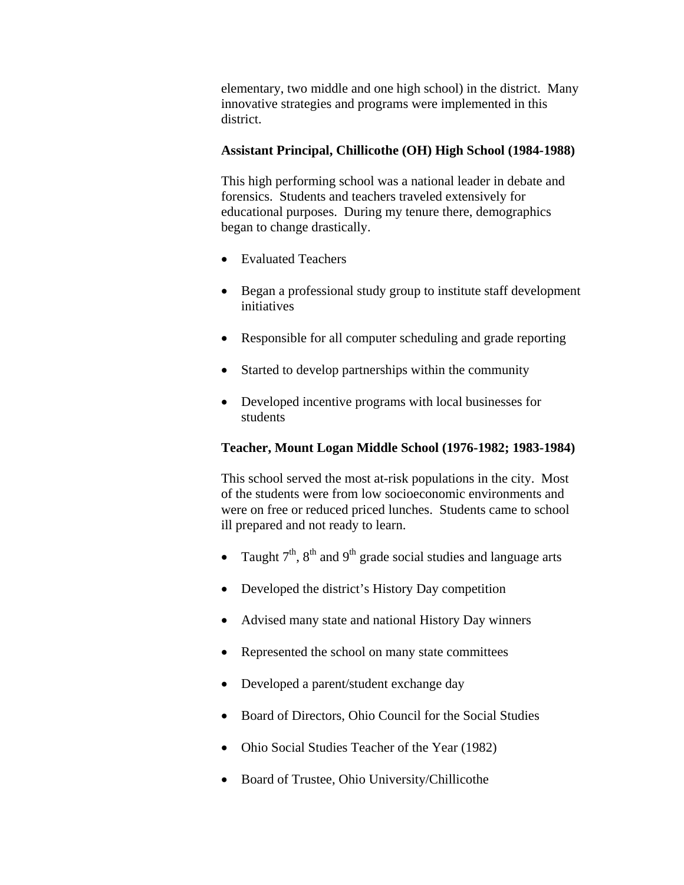elementary, two middle and one high school) in the district. Many innovative strategies and programs were implemented in this district.

### **Assistant Principal, Chillicothe (OH) High School (1984-1988)**

This high performing school was a national leader in debate and forensics. Students and teachers traveled extensively for educational purposes. During my tenure there, demographics began to change drastically.

- Evaluated Teachers
- Began a professional study group to institute staff development initiatives
- Responsible for all computer scheduling and grade reporting
- Started to develop partnerships within the community
- Developed incentive programs with local businesses for students

# **Teacher, Mount Logan Middle School (1976-1982; 1983-1984)**

This school served the most at-risk populations in the city. Most of the students were from low socioeconomic environments and were on free or reduced priced lunches. Students came to school ill prepared and not ready to learn.

- Taught  $7<sup>th</sup>$ ,  $8<sup>th</sup>$  and  $9<sup>th</sup>$  grade social studies and language arts
- Developed the district's History Day competition
- Advised many state and national History Day winners
- Represented the school on many state committees
- Developed a parent/student exchange day
- Board of Directors, Ohio Council for the Social Studies
- Ohio Social Studies Teacher of the Year (1982)
- Board of Trustee, Ohio University/Chillicothe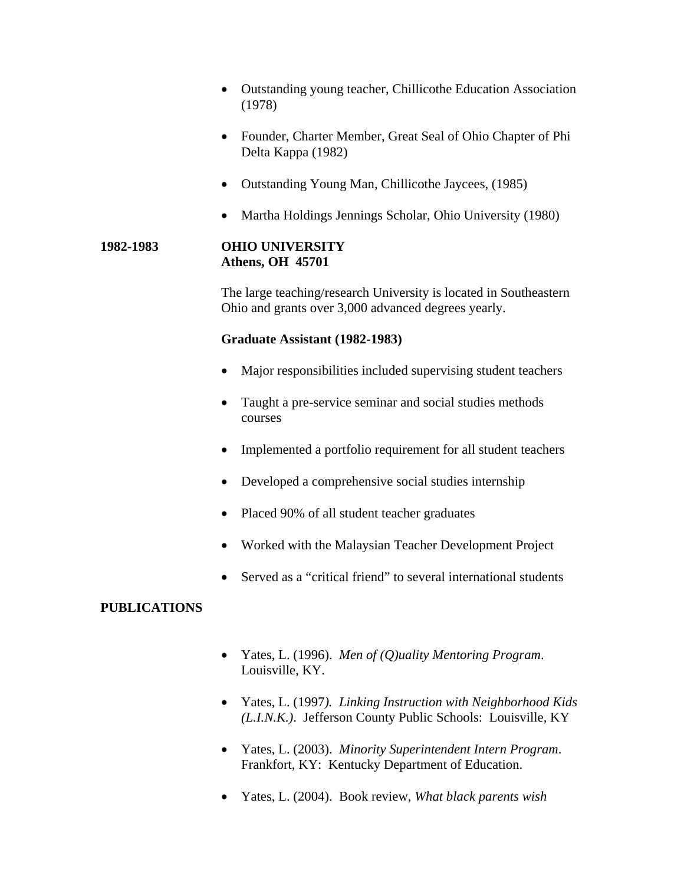- Outstanding young teacher, Chillicothe Education Association (1978)
- Founder, Charter Member, Great Seal of Ohio Chapter of Phi Delta Kappa (1982)
- Outstanding Young Man, Chillicothe Jaycees, (1985)
- Martha Holdings Jennings Scholar, Ohio University (1980)

### **1982-1983 OHIO UNIVERSITY Athens, OH 45701**

The large teaching/research University is located in Southeastern Ohio and grants over 3,000 advanced degrees yearly.

#### **Graduate Assistant (1982-1983)**

- Major responsibilities included supervising student teachers
- Taught a pre-service seminar and social studies methods courses
- Implemented a portfolio requirement for all student teachers
- Developed a comprehensive social studies internship
- Placed 90% of all student teacher graduates
- Worked with the Malaysian Teacher Development Project
- Served as a "critical friend" to several international students

# **PUBLICATIONS**

- Yates, L. (1996). *Men of (Q)uality Mentoring Program*. Louisville, KY.
- Yates, L. (1997*). Linking Instruction with Neighborhood Kids (L.I.N.K.)*. Jefferson County Public Schools: Louisville, KY
- Yates, L. (2003). *Minority Superintendent Intern Program*. Frankfort, KY: Kentucky Department of Education.
- Yates, L. (2004). Book review, *What black parents wish*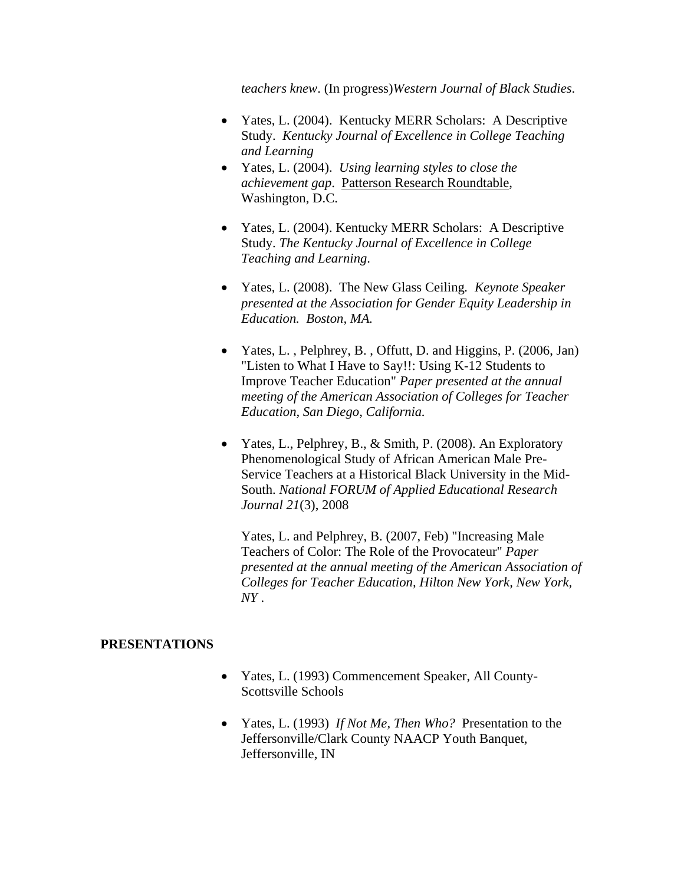*teachers knew*. (In progress)*Western Journal of Black Studies*.

- Yates, L. (2004). Kentucky MERR Scholars: A Descriptive Study. *Kentucky Journal of Excellence in College Teaching and Learning*
- Yates, L. (2004). *Using learning styles to close the achievement gap*. Patterson Research Roundtable, Washington, D.C.
- Yates, L. (2004). Kentucky MERR Scholars: A Descriptive Study. *The Kentucky Journal of Excellence in College Teaching and Learning*.
- Yates, L. (2008). The New Glass Ceiling*. Keynote Speaker presented at the Association for Gender Equity Leadership in Education. Boston, MA.*
- Yates, L., Pelphrey, B., Offutt, D. and Higgins, P. (2006, Jan) "Listen to What I Have to Say!!: Using K-12 Students to Improve Teacher Education" *Paper presented at the annual meeting of the American Association of Colleges for Teacher Education, San Diego, California.*
- Yates, L., Pelphrey, B., & Smith, P. (2008). An Exploratory Phenomenological Study of African American Male Pre-Service Teachers at a Historical Black University in the Mid-South. *National FORUM of Applied Educational Research Journal 21*(3), 2008

Yates, L. and Pelphrey, B. (2007, Feb) "Increasing Male Teachers of Color: The Role of the Provocateur" *Paper presented at the annual meeting of the American Association of Colleges for Teacher Education, Hilton New York, New York, NY* .

#### **PRESENTATIONS**

- Yates, L. (1993) Commencement Speaker, All County-Scottsville Schools
- Yates, L. (1993) *If Not Me, Then Who?* Presentation to the Jeffersonville/Clark County NAACP Youth Banquet, Jeffersonville, IN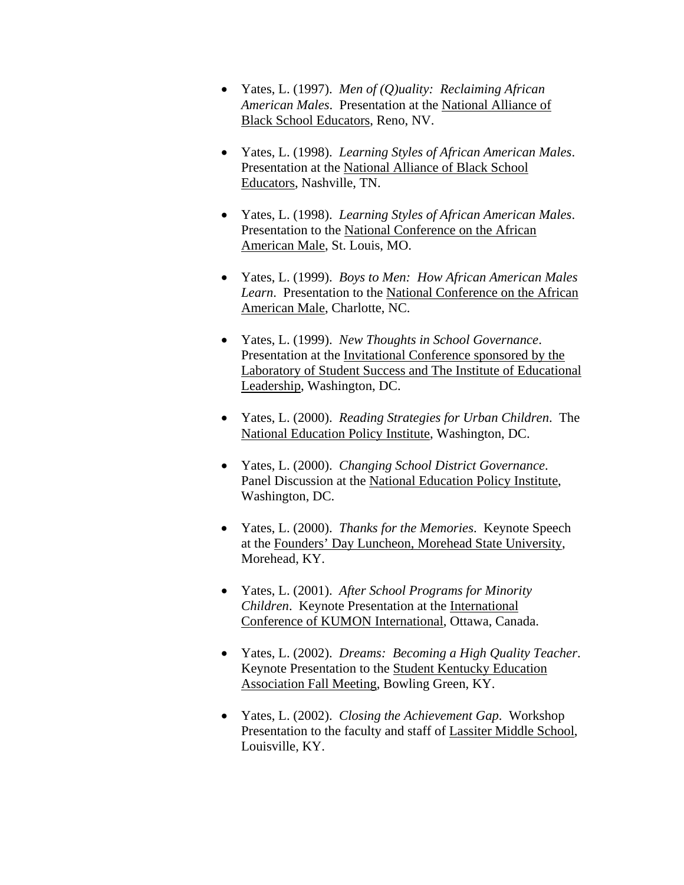- Yates, L. (1997). *Men of (Q)uality: Reclaiming African American Males*. Presentation at the National Alliance of Black School Educators, Reno, NV.
- Yates, L. (1998). *Learning Styles of African American Males*. Presentation at the National Alliance of Black School Educators, Nashville, TN.
- Yates, L. (1998). *Learning Styles of African American Males*. Presentation to the National Conference on the African American Male, St. Louis, MO.
- Yates, L. (1999). *Boys to Men: How African American Males Learn*. Presentation to the National Conference on the African American Male, Charlotte, NC.
- Yates, L. (1999). *New Thoughts in School Governance*. Presentation at the Invitational Conference sponsored by the Laboratory of Student Success and The Institute of Educational Leadership, Washington, DC.
- Yates, L. (2000). *Reading Strategies for Urban Children*. The National Education Policy Institute, Washington, DC.
- Yates, L. (2000). *Changing School District Governance*. Panel Discussion at the National Education Policy Institute, Washington, DC.
- Yates, L. (2000). *Thanks for the Memories*. Keynote Speech at the Founders' Day Luncheon, Morehead State University, Morehead, KY.
- Yates, L. (2001). *After School Programs for Minority Children*. Keynote Presentation at the International Conference of KUMON International, Ottawa, Canada.
- Yates, L. (2002). *Dreams: Becoming a High Quality Teacher*. Keynote Presentation to the Student Kentucky Education Association Fall Meeting, Bowling Green, KY.
- Yates, L. (2002). *Closing the Achievement Gap*. Workshop Presentation to the faculty and staff of Lassiter Middle School, Louisville, KY.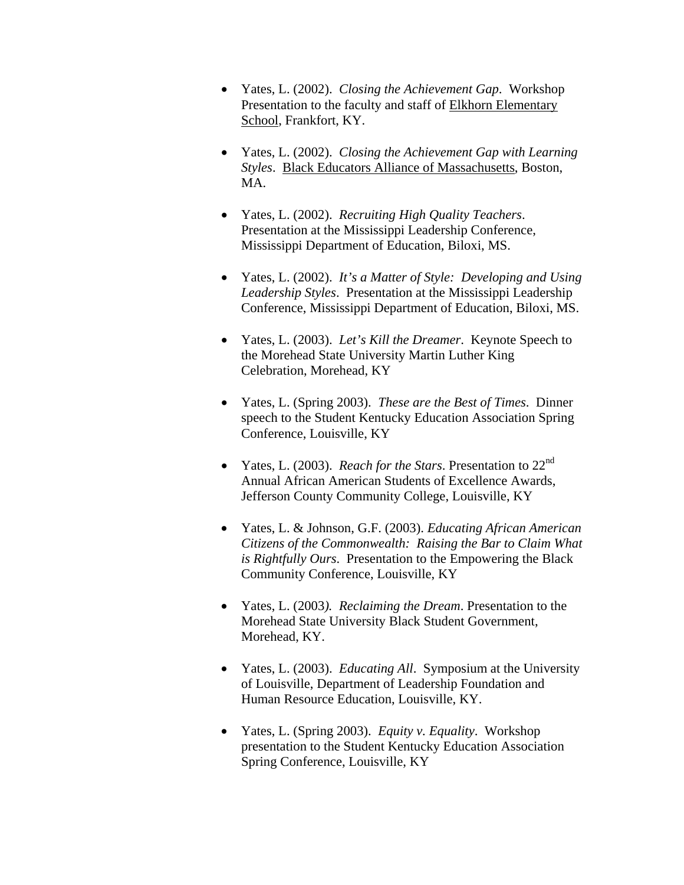- Yates, L. (2002). *Closing the Achievement Gap*. Workshop Presentation to the faculty and staff of Elkhorn Elementary School, Frankfort, KY.
- Yates, L. (2002).*Closing the Achievement Gap with Learning Styles*. Black Educators Alliance of Massachusetts, Boston, MA.
- Yates, L. (2002). *Recruiting High Quality Teachers*. Presentation at the Mississippi Leadership Conference, Mississippi Department of Education, Biloxi, MS.
- Yates, L. (2002). *It's a Matter of Style: Developing and Using Leadership Styles*. Presentation at the Mississippi Leadership Conference, Mississippi Department of Education, Biloxi, MS.
- Yates, L. (2003). *Let's Kill the Dreamer*. Keynote Speech to the Morehead State University Martin Luther King Celebration, Morehead, KY
- Yates, L. (Spring 2003). *These are the Best of Times*. Dinner speech to the Student Kentucky Education Association Spring Conference, Louisville, KY
- Yates, L. (2003). *Reach for the Stars*. Presentation to 22nd Annual African American Students of Excellence Awards, Jefferson County Community College, Louisville, KY
- Yates, L. & Johnson, G.F. (2003). *Educating African American Citizens of the Commonwealth: Raising the Bar to Claim What is Rightfully Ours*. Presentation to the Empowering the Black Community Conference, Louisville, KY
- Yates, L. (2003*). Reclaiming the Dream*. Presentation to the Morehead State University Black Student Government, Morehead, KY.
- Yates, L. (2003). *Educating All*. Symposium at the University of Louisville, Department of Leadership Foundation and Human Resource Education, Louisville, KY.
- Yates, L. (Spring 2003). *Equity v. Equality*. Workshop presentation to the Student Kentucky Education Association Spring Conference, Louisville, KY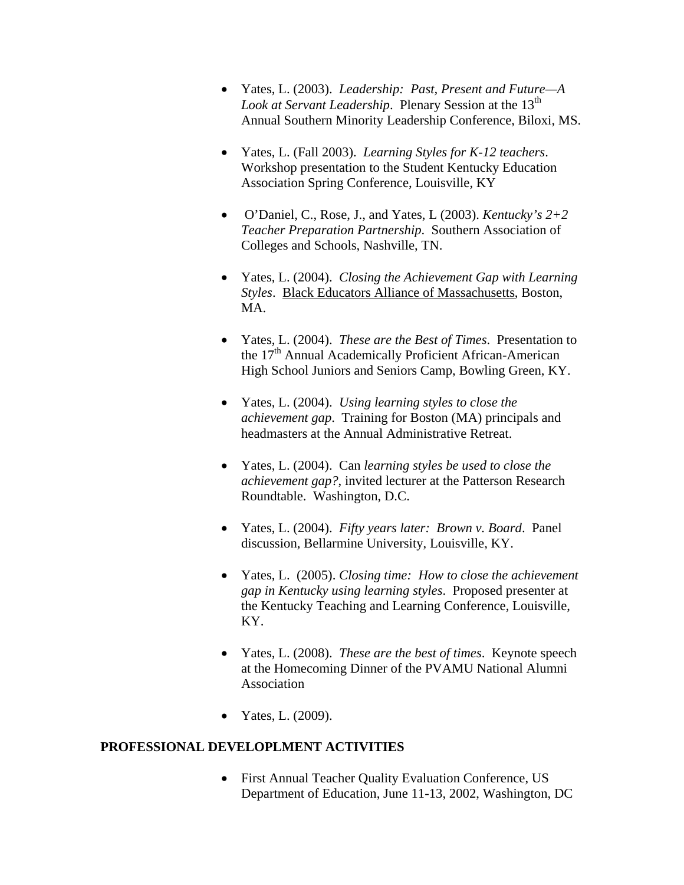- Yates, L. (2003). *Leadership: Past, Present and Future—A*  Look at Servant Leadership. Plenary Session at the 13<sup>th</sup> Annual Southern Minority Leadership Conference, Biloxi, MS.
- Yates, L. (Fall 2003). *Learning Styles for K-12 teachers*. Workshop presentation to the Student Kentucky Education Association Spring Conference, Louisville, KY
- O'Daniel, C., Rose, J., and Yates, L (2003). *Kentucky's 2+2 Teacher Preparation Partnership*. Southern Association of Colleges and Schools, Nashville, TN.
- Yates, L. (2004).*Closing the Achievement Gap with Learning Styles*. Black Educators Alliance of Massachusetts, Boston, MA.
- Yates, L. (2004). *These are the Best of Times*. Presentation to the 17<sup>th</sup> Annual Academically Proficient African-American High School Juniors and Seniors Camp, Bowling Green, KY.
- Yates, L. (2004). *Using learning styles to close the achievement gap*. Training for Boston (MA) principals and headmasters at the Annual Administrative Retreat.
- Yates, L. (2004). Can *learning styles be used to close the achievement gap?*, invited lecturer at the Patterson Research Roundtable. Washington, D.C.
- Yates, L. (2004). *Fifty years later: Brown v. Board*. Panel discussion, Bellarmine University, Louisville, KY.
- Yates, L. (2005). *Closing time: How to close the achievement gap in Kentucky using learning styles*. Proposed presenter at the Kentucky Teaching and Learning Conference, Louisville, KY.
- Yates, L. (2008). *These are the best of times*. Keynote speech at the Homecoming Dinner of the PVAMU National Alumni Association
- Yates, L. (2009).

# **PROFESSIONAL DEVELOPLMENT ACTIVITIES**

• First Annual Teacher Quality Evaluation Conference, US Department of Education, June 11-13, 2002, Washington, DC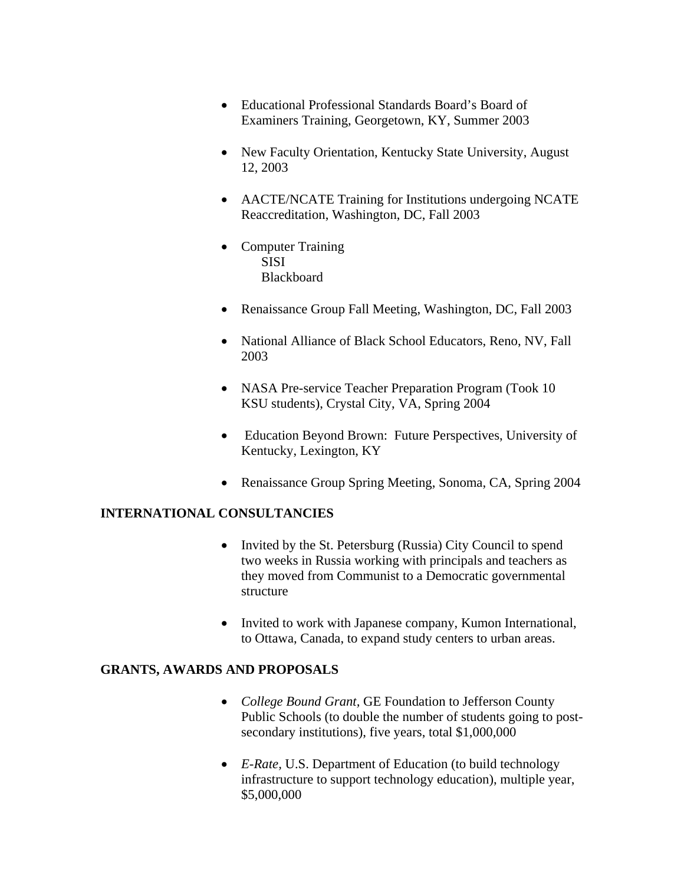- Educational Professional Standards Board's Board of Examiners Training, Georgetown, KY, Summer 2003
- New Faculty Orientation, Kentucky State University, August 12, 2003
- AACTE/NCATE Training for Institutions undergoing NCATE Reaccreditation, Washington, DC, Fall 2003
- Computer Training SISI Blackboard
- Renaissance Group Fall Meeting, Washington, DC, Fall 2003
- National Alliance of Black School Educators, Reno, NV, Fall 2003
- NASA Pre-service Teacher Preparation Program (Took 10) KSU students), Crystal City, VA, Spring 2004
- Education Beyond Brown: Future Perspectives, University of Kentucky, Lexington, KY
- Renaissance Group Spring Meeting, Sonoma, CA, Spring 2004

#### **INTERNATIONAL CONSULTANCIES**

- Invited by the St. Petersburg (Russia) City Council to spend two weeks in Russia working with principals and teachers as they moved from Communist to a Democratic governmental structure
- Invited to work with Japanese company, Kumon International, to Ottawa, Canada, to expand study centers to urban areas.

#### **GRANTS, AWARDS AND PROPOSALS**

- *College Bound Grant,* GE Foundation to Jefferson County Public Schools (to double the number of students going to postsecondary institutions), five years, total \$1,000,000
- *E-Rate,* U.S. Department of Education (to build technology infrastructure to support technology education), multiple year, \$5,000,000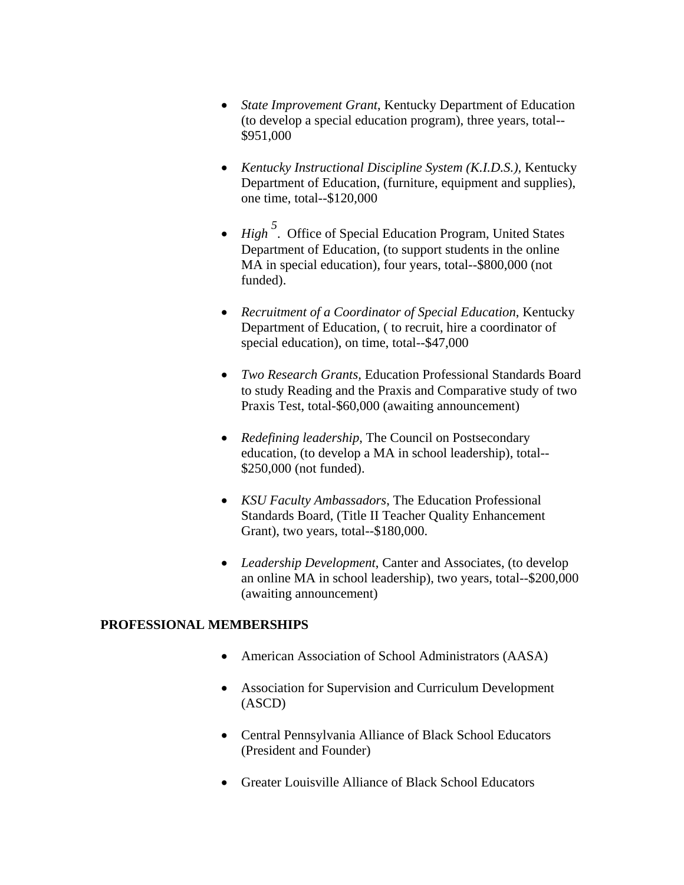- *State Improvement Grant*, Kentucky Department of Education (to develop a special education program), three years, total-- \$951,000
- *Kentucky Instructional Discipline System (K.I.D.S.),* Kentucky Department of Education, (furniture, equipment and supplies), one time, total--\$120,000
- *High*<sup>5</sup>. Office of Special Education Program, United States Department of Education, (to support students in the online MA in special education), four years, total--\$800,000 (not funded).
- *Recruitment of a Coordinator of Special Education*, Kentucky Department of Education, ( to recruit, hire a coordinator of special education), on time, total--\$47,000
- *Two Research Grants,* Education Professional Standards Board to study Reading and the Praxis and Comparative study of two Praxis Test, total-\$60,000 (awaiting announcement)
- *Redefining leadership*, The Council on Postsecondary education, (to develop a MA in school leadership), total-- \$250,000 (not funded).
- *KSU Faculty Ambassadors*, The Education Professional Standards Board, (Title II Teacher Quality Enhancement Grant), two years, total--\$180,000.
- *Leadership Development*, Canter and Associates, (to develop an online MA in school leadership), two years, total--\$200,000 (awaiting announcement)

# **PROFESSIONAL MEMBERSHIPS**

- American Association of School Administrators (AASA)
- Association for Supervision and Curriculum Development (ASCD)
- Central Pennsylvania Alliance of Black School Educators (President and Founder)
- Greater Louisville Alliance of Black School Educators